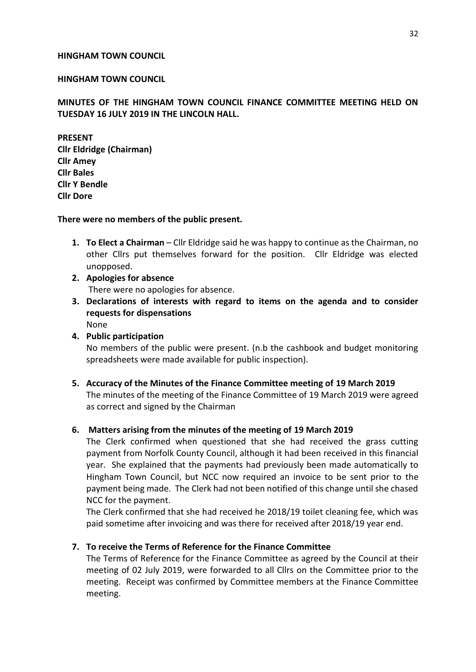### **HINGHAM TOWN COUNCIL**

### **HINGHAM TOWN COUNCIL**

## **MINUTES OF THE HINGHAM TOWN COUNCIL FINANCE COMMITTEE MEETING HELD ON TUESDAY 16 JULY 2019 IN THE LINCOLN HALL.**

**PRESENT Cllr Eldridge (Chairman) Cllr Amey Cllr Bales Cllr Y Bendle Cllr Dore**

#### **There were no members of the public present.**

- **1. To Elect a Chairman** Cllr Eldridge said he was happy to continue as the Chairman, no other Cllrs put themselves forward for the position. Cllr Eldridge was elected unopposed.
- **2. Apologies for absence** There were no apologies for absence.
- **3. Declarations of interests with regard to items on the agenda and to consider requests for dispensations** None
- **4. Public participation** No members of the public were present. (n.b the cashbook and budget monitoring spreadsheets were made available for public inspection).
- **5. Accuracy of the Minutes of the Finance Committee meeting of 19 March 2019** The minutes of the meeting of the Finance Committee of 19 March 2019 were agreed as correct and signed by the Chairman

#### **6. Matters arising from the minutes of the meeting of 19 March 2019**

The Clerk confirmed when questioned that she had received the grass cutting payment from Norfolk County Council, although it had been received in this financial year. She explained that the payments had previously been made automatically to Hingham Town Council, but NCC now required an invoice to be sent prior to the payment being made. The Clerk had not been notified of this change until she chased NCC for the payment.

The Clerk confirmed that she had received he 2018/19 toilet cleaning fee, which was paid sometime after invoicing and was there for received after 2018/19 year end.

#### **7. To receive the Terms of Reference for the Finance Committee**

The Terms of Reference for the Finance Committee as agreed by the Council at their meeting of 02 July 2019, were forwarded to all Cllrs on the Committee prior to the meeting. Receipt was confirmed by Committee members at the Finance Committee meeting.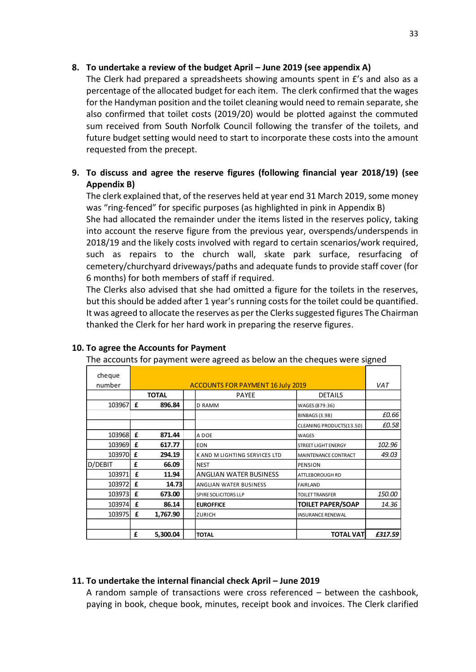## 8. To undertake a review of the budget April – June 2019 (see appendix A)

The Clerk had prepared a spreadsheets showing amounts spent in £'s and also as a percentage of the allocated budget for each item. The clerk confirmed that the wages for the Handyman position and the toilet cleaning would need to remain separate, she also confirmed that toilet costs (2019/20) would be plotted against the commuted sum received from South Norfolk Council following the transfer of the toilets, and future budget setting would need to start to incorporate these costs into the amount requested from the precept.

# **9. To discuss and agree the reserve figures (following financial year 2018/19) (see Appendix B)**

The clerk explained that, of the reserves held at year end 31 March 2019, some money was "ring-fenced" for specific purposes (as highlighted in pink in Appendix B)

She had allocated the remainder under the items listed in the reserves policy, taking into account the reserve figure from the previous year, overspends/underspends in 2018/19 and the likely costs involved with regard to certain scenarios/work required, such as repairs to the church wall, skate park surface, resurfacing of cemetery/churchyard driveways/paths and adequate funds to provide staff cover (for 6 months) for both members of staff if required.

The Clerks also advised that she had omitted a figure for the toilets in the reserves, but this should be added after 1 year's running costs for the toilet could be quantified. It was agreed to allocate the reserves as per the Clerks suggested figures The Chairman thanked the Clerk for her hard work in preparing the reserve figures.

| cheque<br>number |              |                                                                            |                               |                            | VAT     |  |  |
|------------------|--------------|----------------------------------------------------------------------------|-------------------------------|----------------------------|---------|--|--|
|                  |              | <b>ACCOUNTS FOR PAYMENT 16 July 2019</b><br><b>PAYEE</b><br><b>DETAILS</b> |                               |                            |         |  |  |
| 103967           | <b>TOTAL</b> |                                                                            |                               |                            |         |  |  |
|                  | £            | 896.84                                                                     | D RAMM                        | WAGES (879.36)             |         |  |  |
|                  |              |                                                                            |                               | <b>BINBAGS (3.98)</b>      | £0.66   |  |  |
|                  |              |                                                                            |                               | CLEANING PRODUCTS(13.50)   | £0.58   |  |  |
| 103968           | £            | 871.44                                                                     | A DOE                         | WAGES                      |         |  |  |
| 103969           | £            | 617.77                                                                     | <b>EON</b>                    | <b>STREET LIGHT ENERGY</b> | 102.96  |  |  |
| 103970           | £            | 294.19                                                                     | K AND M LIGHTING SERVICES LTD | MAINTENANCE CONTRACT       | 49.03   |  |  |
| D/DEBIT          | £            | 66.09                                                                      | <b>NEST</b>                   | <b>PENSION</b>             |         |  |  |
| 103971           | £            | 11.94                                                                      | <b>ANGLIAN WATER BUSINESS</b> | ATTLEBOROUGH RD            |         |  |  |
| 103972           | £            | 14.73                                                                      | ANGLIAN WATER BUSINESS        | <b>FAIRLAND</b>            |         |  |  |
| 103973           | £            | 673.00                                                                     | SPIRE SOLICITORS LLP          | <b>TOILET TRANSFER</b>     | 150.00  |  |  |
| 103974           | £            | 86.14                                                                      | <b>EUROFFICE</b>              | <b>TOILET PAPER/SOAP</b>   | 14.36   |  |  |
| 103975           | £            | 1,767.90                                                                   | ZURICH                        | <b>INSURANCE RENEWAL</b>   |         |  |  |
|                  |              |                                                                            |                               |                            |         |  |  |
|                  | £            | 5,300.04                                                                   | <b>TOTAL</b>                  | <b>TOTAL VAT</b>           | £317.59 |  |  |

### **10. To agree the Accounts for Payment**

The accounts for payment were agreed as below an the cheques were signed

### **11. To undertake the internal financial check April – June 2019**

A random sample of transactions were cross referenced – between the cashbook, paying in book, cheque book, minutes, receipt book and invoices. The Clerk clarified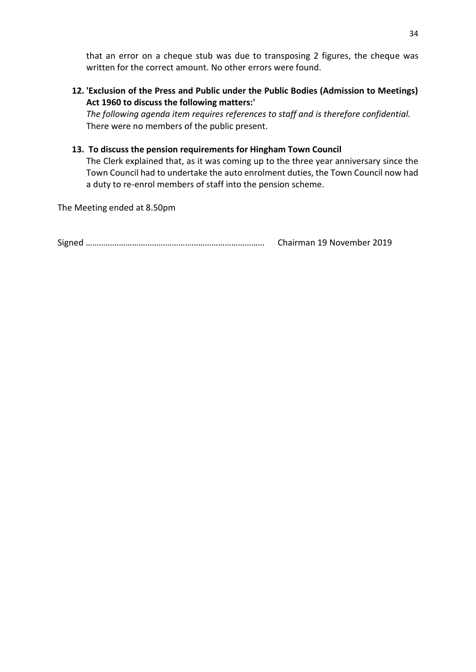that an error on a cheque stub was due to transposing 2 figures, the cheque was written for the correct amount. No other errors were found.

**12. 'Exclusion of the Press and Public under the Public Bodies (Admission to Meetings) Act 1960 to discuss the following matters:'**

*The following agenda item requires references to staff and is therefore confidential.* There were no members of the public present.

## **13. To discuss the pension requirements for Hingham Town Council**

The Clerk explained that, as it was coming up to the three year anniversary since the Town Council had to undertake the auto enrolment duties, the Town Council now had a duty to re-enrol members of staff into the pension scheme.

The Meeting ended at 8.50pm

Signed ……………………………………………………………………… Chairman 19 November 2019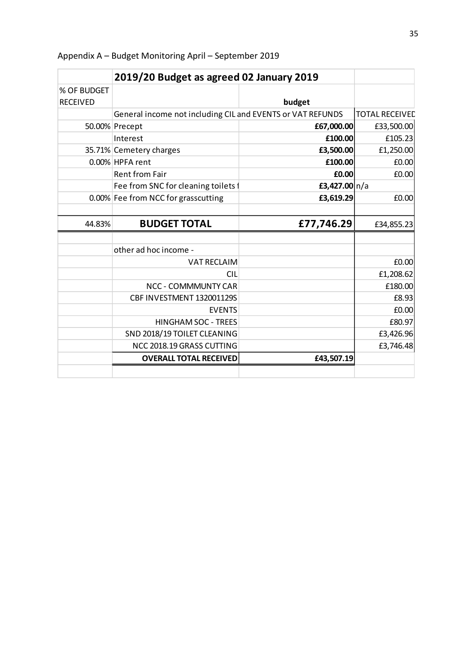|                 | 2019/20 Budget as agreed 02 January 2019                   |                 |                       |
|-----------------|------------------------------------------------------------|-----------------|-----------------------|
| % OF BUDGET     |                                                            |                 |                       |
| <b>RECEIVED</b> |                                                            | budget          |                       |
|                 | General income not including CIL and EVENTS or VAT REFUNDS |                 | <b>TOTAL RECEIVED</b> |
|                 | 50.00% Precept                                             | £67,000.00      | £33,500.00            |
|                 | Interest                                                   | £100.00         | £105.23               |
|                 | 35.71% Cemetery charges                                    | £3,500.00       | £1,250.00             |
|                 | 0.00% HPFA rent                                            | £100.00         | £0.00                 |
|                 | <b>Rent from Fair</b>                                      | £0.00           | £0.00                 |
|                 | Fee from SNC for cleaning toilets f                        | £3,427.00 $n/a$ |                       |
|                 | 0.00% Fee from NCC for grasscutting                        | £3,619.29       | £0.00                 |
|                 |                                                            |                 |                       |
| 44.83%          | <b>BUDGET TOTAL</b>                                        | £77,746.29      | £34,855.23            |
|                 |                                                            |                 |                       |
|                 | other ad hoc income -                                      |                 |                       |
|                 | <b>VAT RECLAIM</b>                                         |                 | £0.00                 |
|                 | <b>CIL</b>                                                 |                 | £1,208.62             |
|                 | <b>NCC - COMMMUNTY CAR</b>                                 |                 | £180.00               |
|                 | CBF INVESTMENT 132001129S                                  |                 | £8.93                 |
|                 | <b>EVENTS</b>                                              |                 | £0.00                 |
|                 | HINGHAM SOC - TREES                                        |                 | £80.97                |
|                 | SND 2018/19 TOILET CLEANING                                |                 | £3,426.96             |
|                 | NCC 2018.19 GRASS CUTTING                                  |                 | £3,746.48             |
|                 | <b>OVERALL TOTAL RECEIVED</b>                              | £43,507.19      |                       |
|                 |                                                            |                 |                       |

Appendix A – Budget Monitoring April – September 2019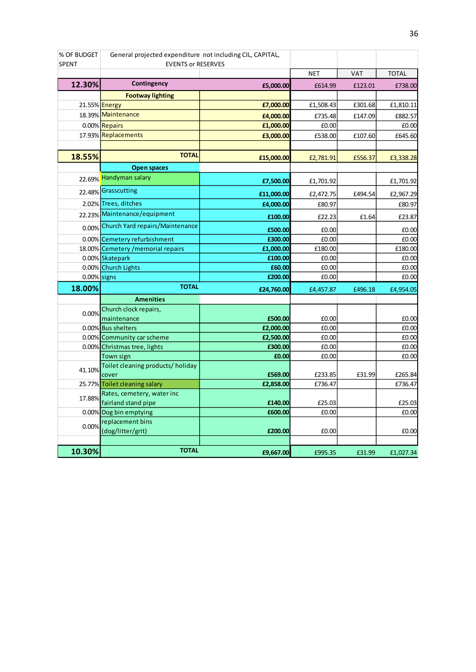| % OF BUDGET    | General projected expenditure not including CIL, CAPITAL, |                    |                 |            |                 |
|----------------|-----------------------------------------------------------|--------------------|-----------------|------------|-----------------|
| <b>SPENT</b>   | <b>EVENTS or RESERVES</b>                                 |                    |                 |            |                 |
|                |                                                           |                    | <b>NET</b>      | <b>VAT</b> | <b>TOTAL</b>    |
| 12.30%         | Contingency                                               | £5,000.00          | £614.99         | £123.01    | £738.00         |
|                | <b>Footway lighting</b>                                   |                    |                 |            |                 |
|                | 21.55% Energy                                             | £7,000.00          | £1,508.43       | £301.68    | £1,810.11       |
|                | 18.39% Maintenance                                        | £4,000.00          | £735.48         | £147.09    | £882.57         |
|                | 0.00% Repairs                                             | £1,000.00          | £0.00           |            | £0.00           |
|                | 17.93% Replacements                                       | £3,000.00          | £538.00         | £107.60    | £645.60         |
|                |                                                           |                    |                 |            |                 |
| 18.55%         | <b>TOTAL</b>                                              | £15,000.00         | £2,781.91       | £556.37    | £3,338.28       |
|                | <b>Open spaces</b>                                        |                    |                 |            |                 |
|                | 22.69% Handyman salary                                    | £7,500.00          | £1,701.92       |            | £1,701.92       |
|                | 22.48% Grasscutting                                       | £11,000.00         | £2,472.75       | £494.54    | £2,967.29       |
|                | 2.02% Trees, ditches                                      | £4,000.00          | £80.97          |            | £80.97          |
|                | 22.23% Maintenance/equipment                              | £100.00            | £22.23          | £1.64      | £23.87          |
|                | 0.00% Church Yard repairs/Maintenance                     | £500.00            | £0.00           |            | £0.00           |
|                | 0.00% Cemetery refurbishment                              | £300.00            | £0.00           |            | £0.00           |
|                | 18.00% Cemetery / memorial repairs                        | £1,000.00          | £180.00         |            | £180.00         |
|                | 0.00% Skatepark                                           | £100.00            | £0.00           |            | £0.00           |
|                | 0.00% Church Lights                                       | £60.00             | £0.00           |            | £0.00           |
| $0.00\%$ signs |                                                           | £200.00            | £0.00           |            | £0.00           |
| 18.00%         | <b>TOTAL</b>                                              | £24,760.00         | £4,457.87       | £496.18    | £4,954.05       |
|                | <b>Amenities</b>                                          |                    |                 |            |                 |
|                | Church clock repairs,                                     |                    |                 |            |                 |
| 0.00%          | maintenance                                               | £500.00            | £0.00           |            | £0.00           |
|                | 0.00% Bus shelters                                        | £2,000.00          | £0.00           |            | £0.00           |
|                | 0.00% Community car scheme                                | £2,500.00          | £0.00           |            | £0.00           |
|                | 0.00% Christmas tree, lights                              | £300.00            | £0.00           |            | £0.00           |
|                | Town sign                                                 | £0.00              | £0.00           |            | £0.00           |
| 41.10%         | Toilet cleaning products/ holiday                         |                    |                 |            |                 |
|                | cover                                                     | £569.00            | £233.85         | £31.99     | £265.84         |
|                | 25.77% Toilet cleaning salary                             | £2,858.00          | £736.47         |            | £736.47         |
| 17.88%         | Rates, cemetery, water inc                                |                    |                 |            |                 |
|                | fairland stand pipe<br>0.00% Dog bin emptying             | £140.00<br>£600.00 | £25.03<br>£0.00 |            | £25.03<br>£0.00 |
|                | replacement bins                                          |                    |                 |            |                 |
| 0.00%          | (dog/litter/grit)                                         | £200.00            | £0.00           |            | £0.00           |
|                |                                                           |                    |                 |            |                 |
| 10.30%         | <b>TOTAL</b>                                              |                    |                 |            |                 |
|                |                                                           | £9,667.00          | £995.35         | £31.99     | £1,027.34       |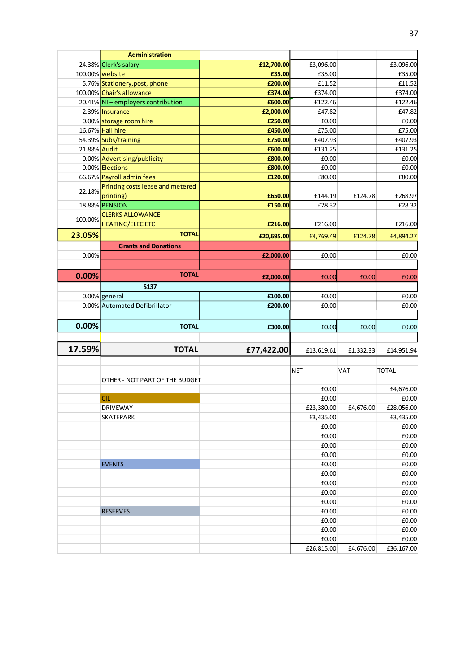|              | <b>Administration</b>            |            |                     |           |                                                                  |
|--------------|----------------------------------|------------|---------------------|-----------|------------------------------------------------------------------|
|              | 24.38% Clerk's salary            | £12,700.00 | £3,096.00           |           | £3,096.00                                                        |
|              | 100.00% website                  | £35.00     | £35.00              |           | £35.00                                                           |
|              | 5.76% Stationery, post, phone    | £200.00    | £11.52              |           | £11.52                                                           |
|              | 100.00% Chair's allowance        | £374.00    | £374.00             |           | £374.00                                                          |
|              | 20.41% NI-employers contribution | £600.00    | £122.46             |           | £122.46                                                          |
|              | 2.39% Insurance                  | £2,000.00  | £47.82              |           | £47.82                                                           |
|              | 0.00% storage room hire          | £250.00    | £0.00               |           | £0.00                                                            |
|              | 16.67% Hall hire                 | £450.00    | £75.00              |           | £75.00                                                           |
|              | 54.39% Subs/training             | £750.00    | £407.93             |           | £407.93                                                          |
| 21.88% Audit |                                  | £600.00    | £131.25             |           | £131.25                                                          |
|              | 0.00% Advertising/publicity      | £800.00    | £0.00               |           | £0.00                                                            |
|              | 0.00% Elections                  | £800.00    | £0.00               |           | £0.00                                                            |
|              | 66.67% Payroll admin fees        | £120.00    | £80.00              |           | £80.00                                                           |
|              | Printing costs lease and metered |            |                     |           |                                                                  |
| 22.18%       | printing)                        | £650.00    | £144.19             | £124.78   | £268.97                                                          |
|              | 18.88% PENSION                   | £150.00    | £28.32              |           | £28.32                                                           |
|              | <b>CLERKS ALLOWANCE</b>          |            |                     |           |                                                                  |
| 100.00%      | <b>HEATING/ELEC ETC</b>          | £216.00    | £216.00             |           | £216.00                                                          |
| 23.05%       | <b>TOTAL</b>                     | £20,695.00 | £4,769.49           | £124.78   | £4,894.27                                                        |
|              | <b>Grants and Donations</b>      |            |                     |           |                                                                  |
| 0.00%        |                                  | £2,000.00  | £0.00               |           | £0.00                                                            |
|              |                                  |            |                     |           |                                                                  |
|              | <b>TOTAL</b>                     |            |                     |           |                                                                  |
| 0.00%        |                                  | £2,000.00  | £0.00               | £0.00     | £0.00                                                            |
|              | <b>S137</b>                      |            |                     |           |                                                                  |
|              | 0.00% general                    | £100.00    | £0.00               |           | £0.00                                                            |
|              | 0.00% Automated Defibrillator    | £200.00    | £0.00               |           | £0.00                                                            |
|              |                                  |            |                     |           |                                                                  |
| 0.00%        | <b>TOTAL</b>                     | £300.00    | £0.00               | £0.00     | £0.00                                                            |
|              |                                  |            |                     |           |                                                                  |
| 17.59%       | <b>TOTAL</b>                     | £77,422.00 | £13,619.61          | £1,332.33 | £14,951.94                                                       |
|              |                                  |            |                     |           |                                                                  |
|              |                                  |            | <b>NET</b>          | VAT       | <b>TOTAL</b>                                                     |
|              | OTHER - NOT PART OF THE BUDGET   |            |                     |           |                                                                  |
|              |                                  |            | £0.00               |           | £4,676.00                                                        |
|              | <b>CIL</b>                       |            | £0.00               |           | £0.00                                                            |
|              | <b>DRIVEWAY</b>                  |            | £23,380.00          | £4,676.00 | £28,056.00                                                       |
|              | <b>SKATEPARK</b>                 |            | £3,435.00           |           | £3,435.00                                                        |
|              |                                  |            | £0.00               |           | £0.00                                                            |
|              |                                  |            | £0.00               |           | £0.00                                                            |
|              |                                  |            | £0.00               |           | £0.00                                                            |
|              |                                  |            |                     |           |                                                                  |
|              |                                  |            |                     |           |                                                                  |
|              |                                  |            | £0.00               |           | £0.00                                                            |
|              | <b>EVENTS</b>                    |            | £0.00               |           | £0.00                                                            |
|              |                                  |            | £0.00               |           | £0.00                                                            |
|              |                                  |            | £0.00               |           | £0.00                                                            |
|              |                                  |            | £0.00               |           |                                                                  |
|              |                                  |            | £0.00               |           |                                                                  |
|              | <b>RESERVES</b>                  |            | £0.00               |           |                                                                  |
|              |                                  |            | £0.00               |           |                                                                  |
|              |                                  |            | £0.00               |           |                                                                  |
|              |                                  |            | £0.00<br>£26,815.00 | £4,676.00 | £0.00<br>£0.00<br>£0.00<br>£0.00<br>£0.00<br>£0.00<br>£36,167.00 |